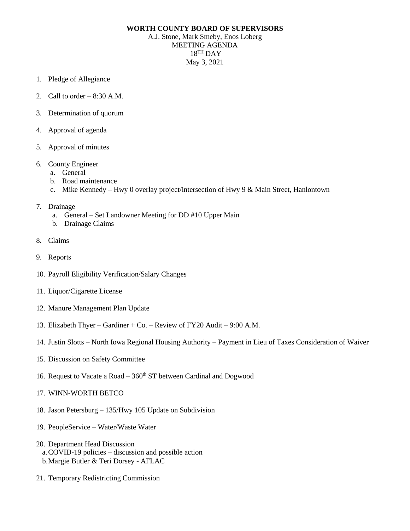## **WORTH COUNTY BOARD OF SUPERVISORS**

A.J. Stone, Mark Smeby, Enos Loberg MEETING AGENDA 18 TH DAY May 3, 2021

- 1. Pledge of Allegiance
- 2. Call to order  $-8:30$  A.M.
- 3. Determination of quorum
- 4. Approval of agenda
- 5. Approval of minutes
- 6. County Engineer
	- a. General
	- b. Road maintenance
	- c. Mike Kennedy Hwy 0 overlay project/intersection of Hwy 9 & Main Street, Hanlontown
- 7. Drainage
	- a. General Set Landowner Meeting for DD #10 Upper Main
	- b. Drainage Claims
- 8. Claims
- 9. Reports
- 10. Payroll Eligibility Verification/Salary Changes
- 11. Liquor/Cigarette License
- 12. Manure Management Plan Update
- 13. Elizabeth Thyer Gardiner + Co. Review of FY20 Audit 9:00 A.M.
- 14. Justin Slotts North Iowa Regional Housing Authority Payment in Lieu of Taxes Consideration of Waiver
- 15. Discussion on Safety Committee
- 16. Request to Vacate a Road  $-360<sup>th</sup>$  ST between Cardinal and Dogwood
- 17. WINN-WORTH BETCO
- 18. Jason Petersburg 135/Hwy 105 Update on Subdivision
- 19. PeopleService Water/Waste Water
- 20. Department Head Discussion a.COVID-19 policies – discussion and possible action b.Margie Butler & Teri Dorsey - AFLAC
- 21. Temporary Redistricting Commission